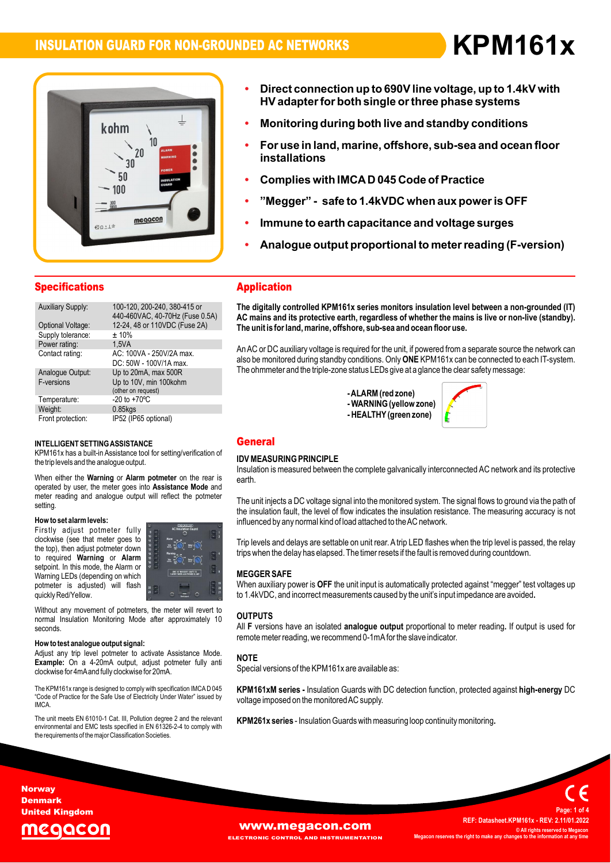**ï**

**Direct**



- **connection up to 690Vline voltage, up to 1.4kV with ïbirect connection up to 690V line voltage, up to 1.4kV with<br>HV adapter for both single or three phase systems** ection up to s90 v line voltage, up to 1.4KV with<br>for both single or three phase systems<br>during both live and standby conditions
- **Monitoring during both live and standby condition<br>For use in land. marine. offshore. sub-sea and ocea in**onitoring a
- Monitoring during both live and standby conditions<br>For use in land, marine, offshore, sub-sea and ocean floor **ï**For use in land, marine, offshore, sub-sea and ocean<br>installations<br>Complies with IMCA D 045 Code of Practice
- 
- **Immune to earth capacitance and voltage surges - safe to 1.4kVDC when aux poweris OFF**
- **Immune** to
- nune to earth capacitance and voltage surges<br>alogue output proportional to meter reading (F-version)

| <b>Specifications</b>          |                                                                      |
|--------------------------------|----------------------------------------------------------------------|
| <b>Auxiliary Supply:</b>       | 100-120, 200-240, 380-415 or<br>440-460VAC, 40-70Hz (Fuse 0.5A)      |
| Optional Voltage:              | 12-24, 48 or 110VDC (Fuse 2A)                                        |
| Supply tolerance:              | ±10%                                                                 |
| Power rating:                  | 1.5VA                                                                |
| Contact rating:                | AC: 100VA - 250V/2A max.<br>DC: 50W - 100V/1A max.                   |
| Analogue Output:<br>F-versions | Up to 20mA, max 500R<br>Up to 10V, min 100kohm<br>(other on request) |
| Temperature:                   | $-20$ to $+70^{\circ}$ C                                             |
| Weight:                        | $0.85$ kgs                                                           |
| Front protection:              | IP52 (IP65 optional)                                                 |

### INTELLIGENT SETTING ASSISTANCE

the trip levels and the analogue output. **output.<br>Alarm potmeter** on th INTELLIGENT SETTING ASSISTANCE<br>KPM161x has a built-in Assistance tool for setting/verification of **IDENT**<br>the trip levels and the analogue output. e the trip levels and the analogue output.<br>Ins<br>גרם When either the **Warning** or **Alarm potmeter** on the rear is

the rear is<br>**Mode** and Insu<br>When either the **Warning** or **Alarm potmeter** on the rear is<br>operated by user, the meter goes into Assistance Mode and operated by user, the meter goes into **Assistance Mode** and meter reading and analogue output will reflect the potmeter setting setting.<br>**How to set alarm levels:** 

### now to se

**EXECUTE:** THE RESIDENT RESIDENCE CONSIDERS A MODEL OF A MODEL OF A MODEL OF A MODEL OF A MODEL OF A MODEL OF A<br>The top), then adjust potmeter down red Warning or **Alarm**<br> **Alarm Alarm Alarm Alarm Alarm Alarm Alarm Alarm 1999** e<mark>talarm levels:</mark><br>adjust potmeter fully **How to set alarm levels:**<br>Firstly adjust potmeter fully **seems**<br>clockwise (see that meter goes to  $\stackrel{m}{\text{ii}}$  . required variables that meter goes to<br>the top), then adjust potmeter down<br>to required **Warning** or **Alarm**<br>setpoint. In this mode, the Alarm or<br>Warning LEDs (depending on which vvarning LEDS (dependin<br>potmeter is adjusted)<br>quickly Red/Yellow. to required Warning or Alarm setpoint. In this mode, the Alarm or selpoint. In this mode, the Alamn of<br>Warning LEDs (depending on which<br>potmeter is adjusted) will flash will



quickly Red/Yellow.<br>
Without any movement of potmeters, the meter will revert to<br>
normal Insulation Monitoring Mode after approximately 10 OU\* seconds

clockwise for 4mA and fully clockwise for 20mA. **the weight of the signal: help weight of the signal:** Adjust any trip level potmeter to activate Assistance Mode. **How to test analogue output signal:**<br>Adjust any trip level potmeter to activate Assistance Mode.<br>**Example:** On a 4-20mA output, adjust potmeter fully anti y trip lever potmeter to activate A<br>On a 4-20mA output, adjust po<br>for 4mAand fully clockwise for 20mA.

CHE COMMISE FOR THILING THE COLL CONTROL CONTROL TO THE CONTROL THE CONTROL THE CONTROL THE CONTROL THE CONTRO<br>The KPM161x range is designed to comply with specification IMCAD 045 KP<br>Code of Practice for the Safe Use of E IMCA.

iMCA.<br>The unit meets EN 61010-1 Cat. III, Pollution degree 2 and the relevant <br>environmental and EMC tests specified in EN 61326-2-4 to comply with environmental and EMC tests specified in EN 61326-2-4 to comply with the requirements of the major Classification Societies.

### **Application The**

 **digitally controlled KPM161x series monitors insulation level between <sup>a</sup> non-grounded (IT) AC**The digitally controlled KPM161x series monitors insulation level between a non-grounded (IT)<br>AC mains and its protective earth, regardless of whether the mains is live or non-live (standby). uighany controlled KPM to ix series monitors insulation lever bet<br>mains and its protective earth, regardless of whether the mains is<br>unit is for land. marine. offshore. sub-sea and ocean floor use. The unit is for land, marine, offshore, sub-sea and ocean floor use.

The unit is for land, marine, offshore, sub-sea and ocean hoor use.<br>An AC or DC auxiliary voltage is required for the unit, if powered from a separate source the network can<br>also be monitored during standby conditions. Onl of or DC auxiliary voltage is required for the unit, if powered from a separate source the ne<br>be monitored during standby conditions. Only **ONE** KPM161x can be connected to each<br>ohmmeter and the triple-zone status LEDs giv

**zone**<br>- ALARM (red zone) - ALARM (red zone)<br>- WARNING (yellow zone)<br>- HEALTHY (green zone) -ALARM (red zone)



### **IDEASURING PRINCIPLE**

### $\sum_{i=1}^{n}$ earth.

Insulation is measured between the complete galvanically interconnected AC network and its protective earth.

eartn.<br>The unit injects a DC voltage signal into the monitored system. The signal flows to ground via the path of<br>the insulation fault. the level of flow indicates the insulation resistance. The measuring accuracy is not the insulation fault, the level of flow indicates the insulation resistance. The measuring accuracy is not influenced by any normal kind of load attached to the AC network.

trips when the delay has elapsed. The timer resets if the fault is removed during countdown. inhuenced by any normal kind of load attached to the AC network.<br>Trip levels and delays are settable on unit rear. A trip LED flashes when the trip level is passed, the relay<br>trips when the delay has elapsed. The timer res

### **MEGGER SAFE**

**MEGGER SAFE**<br>When auxiliary power is **OFF** the unit input is automatically protected against "megger" test voltages up<br>to 1.4kVDC, and incorrect measurements caused by the unit's input impedance are avoided. to 1.4kVDC, and incorrect measurements caused by the unit's input impedance are avoided.

### **F**All

**OUTPUTS**<br>All F versions have an isolated **analogue output** proportional to meter reading. If output is used for<br>remote meter reading, we recommend 0-1mA for the slave indicator.

### **NOTE**

**NOTE**<br>Special versions of the KPM161x are available as:

Special versions of the KPM to tx are available as.<br>**KPM161xM series -** Insulation Guards with DC detection function, protected against **high-energy** DC<br>voltage imposed on the monitored AC supply. voltage imposed o ons or the KPM to tx are available as:<br>**series -** Insulation Guards with DC detection function, protected against **high-energy** DC

osed on the monitored AC supply.<br>**series** - Insulation Guards with measuring loop continuity monitoring.

**Norway Denmark United Kingdom**



**WWW.Megacon.com ELECTRONIC CONTROL AND INSTRUMENTATION**

 **Datasheet.KPM161x - REV: 2.11/01.2022 © All rights reserved to Megacon Megacon reserves the right to make any changes to the information at any time <sup>1</sup> of <sup>4</sup>**

**Page:**

**REF:**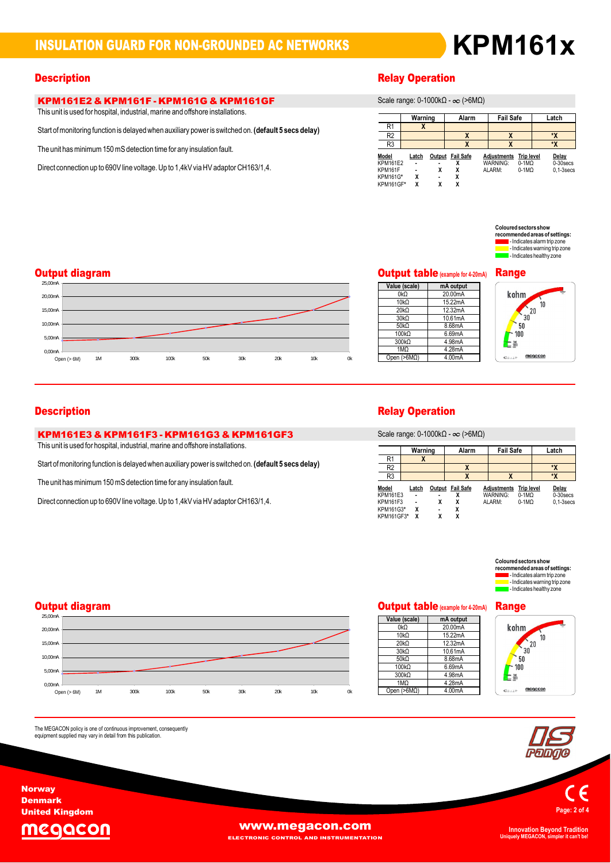### **INSULATION GUARD FOR NON-GROUNDED AC NETWORKS**

# **KPM161x**

## **KPM161E2 & KPM161F - KPM161G & KPM161GF**<br>This unit is used for hospital, industrial, marine and offshore installations.

rnis unit is used for hospital, industrial, manne and onshore installations.<br>Start of monitoring function is delayed when auxiliary power is switched on. (**default 5 secs delay)** 

The unit has minimum 150 mS detection time for any insulation fault.

Direct connection up to 690V line voltage. Up to 1,4kV via HV adaptor CH163/1,4.

## **Description**

**Warning** range: 0-1000kΩ - ∞ (>6MΩ)

|                     |         |   | $\sigma$ occurs range. $\sigma$ -robots $\epsilon$ - $\infty$ ( $\epsilon$ onns $\epsilon$ ) |                    |                    |                             |
|---------------------|---------|---|----------------------------------------------------------------------------------------------|--------------------|--------------------|-----------------------------|
|                     | Warning |   | Alarm                                                                                        | <b>Fail Safe</b>   |                    | Latch                       |
| R <sub>1</sub>      | х       |   |                                                                                              |                    |                    |                             |
| R <sub>2</sub>      |         |   | χ                                                                                            | X                  |                    | ۰X                          |
| R <sub>3</sub>      |         |   | χ                                                                                            | X                  |                    | ۰x                          |
| Model               | Latch   |   | Output Fail Safe                                                                             | <b>Adiustments</b> | <b>Trip level</b>  | Delay                       |
| KPM161E2<br>KPM161F |         | χ | χ<br>x                                                                                       | WARNING:<br>ALARM: | $0-1MO$<br>$0-1MO$ | 0-30 secs<br>$0.1 - 3$ secs |
| <b>KPM161G*</b>     | χ       |   | χ                                                                                            |                    |                    |                             |
| KPM161GF*           | χ       | x | x                                                                                            |                    |                    |                             |

**Soloured sectors show red sectors show<br>imended areas of settings:<br>- Indicates alarm trip zone** rnenaea areas or setungs:<br>- Indicates alarm trip zone<br>- Indicates warning trip zone lectricates warning trip zone<br>lectricates healthy zone

### **Output diagram**



| <b>Output table</b> (example for 4-20mA) |           |  |  |  |  |  |
|------------------------------------------|-----------|--|--|--|--|--|
| Value (scale)                            | mA output |  |  |  |  |  |
| 0kQ                                      | 20.00mA   |  |  |  |  |  |
| 10k <sub>0</sub>                         | 15.22mA   |  |  |  |  |  |
| $20k\Omega$                              | 12.32mA   |  |  |  |  |  |
| 30k <sub>0</sub>                         | 10.61mA   |  |  |  |  |  |
| 50kO                                     | 8.68mA    |  |  |  |  |  |
| $100k\Omega$                             | 6.69mA    |  |  |  |  |  |
| $300k\Omega$                             | 4.98mA    |  |  |  |  |  |
| 1MQ                                      | 4.28mA    |  |  |  |  |  |
| Open ( $>6M\Omega$ )                     | 4.00mA    |  |  |  |  |  |

**Output table(example for4-20mA) Range** kohm  $\frac{1}{30}$ <br> $\frac{20}{10}$  $10$  $50$ 

100  $\mathsf{L}^{\mathsf{m}}$ 

# **KPM161E3 & KPM161F3 - KPM161G3 & KPM161GF3**<br>
This unit is used for hospital, industrial, marine and offshore installations. Scale range: 0-1000kΩ - ∞ (>6MΩ)

rnis unit is used for hospital, industrial, manne and onshore installations.<br>Start of monitoring function is delayed when auxiliary power is switched on. (**default 5 secs delay)** 

The unit has minimum 150 mS detection time for any insulation fault.

Direct connection up to 690V line voltage. Up to 1,4kV via HV adaptor CH163/1,4.

### **Description Relay Operation**

Scale range:  $0-1000k\Omega - \infty$  (>6M $\Omega$ )

|                 |                |                | $O$ Calc Tariye. U-TUVUNIZ - $O$ (AURIZ) |                    |                   |              |
|-----------------|----------------|----------------|------------------------------------------|--------------------|-------------------|--------------|
|                 | Warning        |                | Alarm                                    | <b>Fail Safe</b>   |                   | Latch        |
| R <sub>1</sub>  | ᄉ              |                |                                          |                    |                   |              |
| R <sub>2</sub>  |                |                | χ                                        |                    |                   | *X           |
| R <sub>3</sub>  |                |                |                                          | X                  |                   | *X           |
| Model           | Latch          |                | Output Fail Safe                         | <b>Adjustments</b> | <b>Trip level</b> | Delay        |
| KPM161E3        | $\blacksquare$ | $\blacksquare$ |                                          | <b>WARNING:</b>    | $0-1M\Omega$      | $0-30$ secs  |
| <b>KPM161F3</b> | $\blacksquare$ | χ              | x                                        | ALARM:             | $0-1MO$           | $0.1-3$ secs |
| KPM161G3*       | χ              | $\blacksquare$ | χ                                        |                    |                   |              |
| KPM161GF3*      | x              | χ              | χ                                        |                    |                   |              |

**Sectors show areas of settings:<br><b>areas of settings:**<br>s alarm trip zone rmended areas or:<br>- Indicates alarm tri reas or settings:<br>alarm trip zone<br>warning trip zone<br>healthy zone

### **Output diagram**



The MEGACON policy is one of continuous improvement, consequently<br>equipment supplied may vary in detail from this publication.

## **Cutput table** (example for 4-20mA) **Range**

| Value (scale)        | mA output |
|----------------------|-----------|
| 0kQ                  | 20.00mA   |
| 10kO                 | 15.22mA   |
| $20k\Omega$          | 12.32mA   |
| 30kO                 | 10.61mA   |
| 50kO                 | 8.68mA    |
| 100kQ                | 6.69mA    |
| $300k\Omega$         | 4.98mA    |
| 1MQ                  | 4.28mA    |
| Open ( $>6M\Omega$ ) | 4.00mA    |







**Page:<sup>2</sup> of <sup>4</sup>**

**Uniquely MEGACON, simpler it can't be!**

egacon

**Norway Denmark United Kingdom**

The

**WWW.megacon.com** 

**ELECTRONIC CONTROL AND INSTRUMENTATION**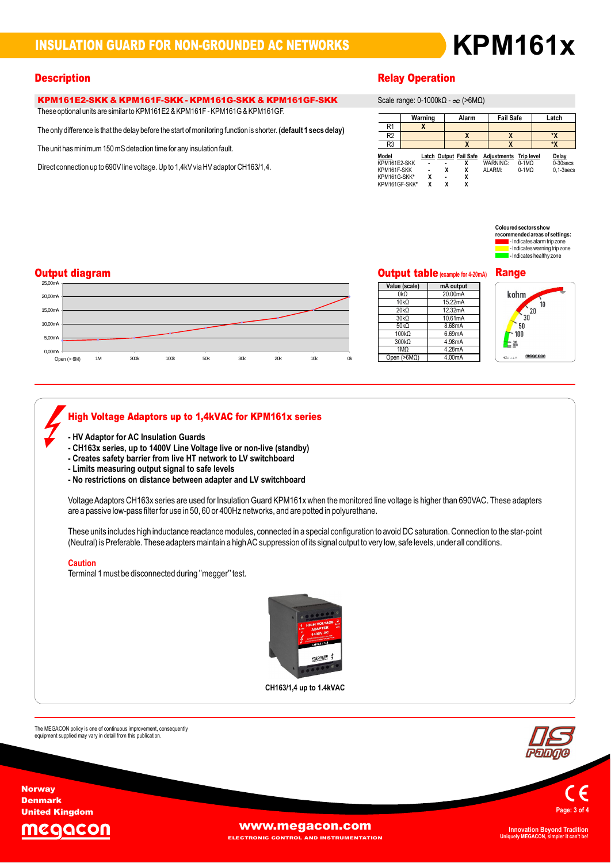# **KPM161x**

## **KPM161E2-SKK & KPM161F-SKK - KPM161G-SKK & KPM161GF-SKK**<br>These optional units are similar to KPM161E2 & KPM161F - KPM161G & KPM161GF.

These optional units are similar to KPM161E2 & KPM161F - KPM161G & KPM161GF.

only difference is that the delay before the startofmonitoring function is shorter. The **<sup>1</sup> secs delay)**

The unit has minimum 150 mS detection time for any insulation fault.

Direct connection up to 690V line voltage. Up to 1,4kV via HV adaptor CH163/1,4.

## **Description**

**Warning** range: 0-1000kΩ - ∞ (>6MΩ)

|                |         |   | $\sigma$ occurs range. $\sigma$ -robots $\epsilon$ - $\infty$ ( $\epsilon$ onns $\epsilon$ ) |                    |                   |                |
|----------------|---------|---|----------------------------------------------------------------------------------------------|--------------------|-------------------|----------------|
|                | Warning |   | Alarm                                                                                        | <b>Fail Safe</b>   |                   | Latch          |
| R1             |         |   |                                                                                              |                    |                   |                |
| R <sub>2</sub> |         |   | χ                                                                                            | X                  |                   | ۰x             |
| R <sub>3</sub> |         |   | χ                                                                                            | X                  |                   | ۰x             |
| Model          |         |   | Latch Output Fail Safe                                                                       | <b>Adjustments</b> | <b>Trip level</b> | Delay          |
| KPM161E2-SKK   |         |   |                                                                                              | WARNING:           | $0-1MO$           | 0-30 secs      |
| KPM161F-SKK    |         | χ | χ                                                                                            | ALARM:             | $0-1MO$           | $0.1 - 3$ secs |
| KPM161G-SKK*   | χ       |   | χ                                                                                            |                    |                   |                |
| KPM161GF-SKK*  | x       | χ | x                                                                                            |                    |                   |                |

 $\mathsf{Coloured}\, \mathsf{sector}\, \mathsf{show}$ **red sectors show<br>imended areas of settings:<br>- Indicates alarm trip zone** rnenaea areas or setungs:<br>- Indicates alarm trip zone<br>- Indicates warning trip zone lectricates warning trip zone<br>lectricates healthy zone

### **Output diagram**



## **Cutput table** (example for 4-20mA) **Range**

| Value (scale)      | mA output |
|--------------------|-----------|
| 0kQ                | 20.00mA   |
| 10k <sub>0</sub>   | 15.22mA   |
| 20kO               | 12.32mA   |
| 30kO               | 10.61mA   |
| 50kO               | 8.68mA    |
| 100kQ              | 6.69mA    |
| $300k\Omega$       | 4.98mA    |
| 1MO                | 4.28mA    |
| Open $(>6M\Omega)$ | 4.00mA    |

kohm  $\frac{1}{30}$ <br> $\frac{20}{10}$ .<br>10  $50$ 100  $\equiv \frac{30}{100}$ 

### **High Voltage Adaptors up to 1,4kVAC for KPM161x series -**

- **HV Adaptor for AC Insulation Guards -**
- HV Adaptor for AC Insulation Guards<br>- CH163x series, up to 1400V Line Voltage live or non-live (standby)<br>- Creates safetv barrier from live HT network to LV switchboard
- CHTOSX Series, up to T400V Line voltage live of non-li<br>- Creates safety barrier from live HT network to LV swit<br>- Limits measuring output signal to safe levels
- 
- **-** Creates salety barrier from live HT hetwork to LV switchboard<br>- Limits measuring output signal to safe levels<br>- No restrictions on distance between adapter and LV switchboard

- no restrictions on distance between adapter and Lv switchboard<br>Voltage Adaptors CH163x series are used for Insulation Guard KPM161x when the monitored line voltage is higher than 690VAC. These adapters are a passive low-pass filter for use in 50, 60 or 400Hz networks, and are potted in polyurethane.

gh inductance reactance modules, connected in a special configuration to avoid DC saturation. Connection to the sta<br>These adapters maintain a high AC suppression of its signal output to very low, safe levels, under all con are a passive low-pass liller for use in 50, 60 or 400HZ hetworks, and are polled in polyurematie.<br>These units includes high inductance reactance modules, connected in a special configuration to avoid DC saturation. Connec (Neutral) is Preferable. These adapters maintain a high AC suppression of its signal output to very low, safe levels, under all conditions.

### Caution

Terminal 1 must be disconnected during "megger" test.



**up to 1.4kVAC**

The MEGACON policy is one of continuous improvement, consequently<br>equipment supplied may vary in detail from this publication.



Page

**Norway Denmark United Kingdom**

The



**[www.megacon.com](http://www.megacon.com) ELECTRONIC CONTROL AND INSTRUMENTATION**

**Uniquely MEGACON, simpler it can't be!**